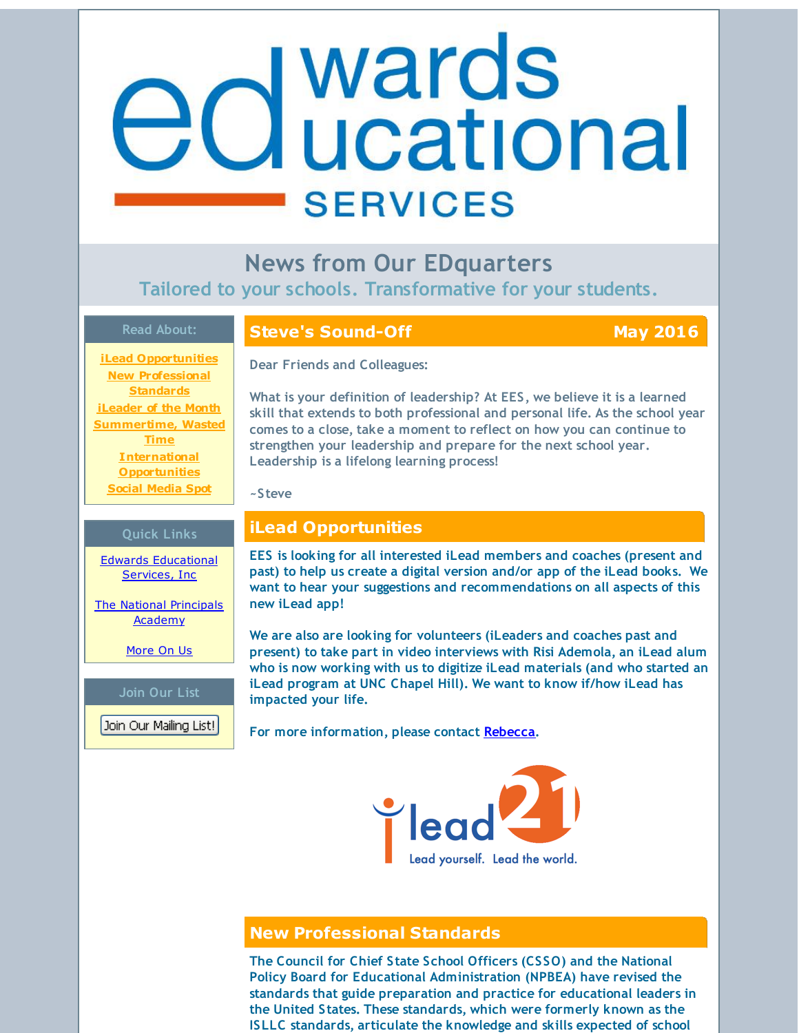# <span id="page-0-0"></span>**Buller**<br>**Buller**<br> **Buller**<br> **Buller**<br> **Buller**<br> **Buller**<br> **Buller**<br> **Buller**<br> **Buller SERVICES**

**News from Our EDquarters Tailored to your schools. Transformative for your students.**

### **Read About:**

**iLead [Opportunities](#page-0-0) New [Professional](#page-0-0) Standards [iLeader](#page-0-0) of the Month [Summertime,](#page-0-0) Wasted Time International [Opportunities](#page-0-0) Social [Media](#page-0-0) Spot**

**Quick Links**

Edwards [Educational](http://r20.rs6.net/tn.jsp?f=001JM4YhSSRgCcjRl9AsWLhlnX-E5qViDgAhsTju5YoJaxwzx8PvHxBVGDTPLVz_MjzB8OXyWw2K5qZyZhYlucjam_O5uf7Gxg9xEN5h1UnY-x0SSVU7pYsxz5lAZ66xerNRdDqNc1Iz2Skyf8OphwHcAY827FiTIa9wyHocVFvjqnC0fgzf2_Eew==&c=&ch=) Services, Inc

The National [Principals](http://r20.rs6.net/tn.jsp?f=001JM4YhSSRgCcjRl9AsWLhlnX-E5qViDgAhsTju5YoJaxwzx8PvHxBVDl7vdIb17MOQPBoLOjqBy0zKvW2dq98XtmHX6lfC6jWDtol01tSaOMnUa76N73zNDxQp22QPoCWeC9_JT5YH0wPyuoysdj2cwWK4Qkn_g8deERadUXcijhh85T2jx03lqgKihM4Jh5h&c=&ch=) Academy

[More](http://r20.rs6.net/tn.jsp?f=001JM4YhSSRgCcjRl9AsWLhlnX-E5qViDgAhsTju5YoJaxwzx8PvHxBVLEW3cURpYBYDX7jEXOBAdZtmUkbppCGh2SnJyV_6TEy-i1oa7_t6M8ZmkaXrW18hO8neuyBzT9XYT5ykn1wWNB2QmgDBg-lfNgx678XBWlMMnf8uhTyJ_LC0IvphN5K8to_9OyrtJMQ&c=&ch=) On Us

**Join Our List**

Join Our Mailing List!

### **Steve's Sound-Off May 2016**

**Dear Friends and Colleagues:**

**What is your definition of leadership? At EES, we believe it is a learned skill that extends to both professional and personal life. As the school year comes to a close, take a moment to reflect on how you can continue to strengthen your leadership and prepare for the next school year. Leadership is a lifelong learning process!**

**~Steve**

## **iLead Opportunities**

**EES is looking for all interested iLead members and coaches (present and past) to help us create a digital version and/or app of the iLead books. We want to hear your suggestions and recommendations on all aspects of this new iLead app!**

**We are also are looking for volunteers (iLeaders and coaches past and present) to take part in video interviews with Risi Ademola, an iLead alum who is now working with us to digitize iLead materials (and who started an iLead program at UNC Chapel Hill). We want to know if/how iLead has impacted your life.**

**For more information, please contact [Rebecca](mailto:rebecca@edwardsedservices.com).**



### **New Professional Standards**

**The Council for Chief State School Officers (CSSO) and the National Policy Board for Educational Administration (NPBEA) have revised the standards that guide preparation and practice for educational leaders in the United States. These standards, which were formerly known as the ISLLC standards, articulate the knowledge and skills expected of school**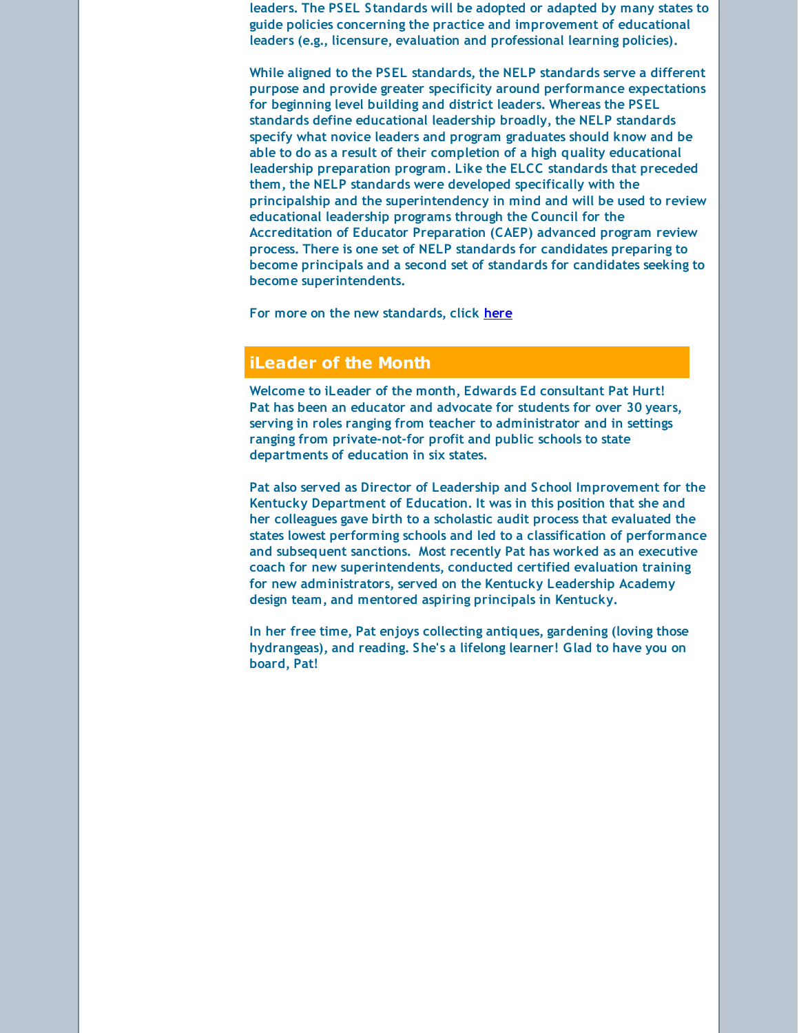**leaders. The PSEL Standards will be adopted or adapted by many states to guide policies concerning the practice and improvement of educational leaders (e.g., licensure, evaluation and professional learning policies).**

**While aligned to the PSEL standards, the NELP standards serve a different purpose and provide greater specificity around performance expectations for beginning level building and district leaders. Whereas the PSEL standards define educational leadership broadly, the NELP standards specify what novice leaders and program graduates should know and be able to do as a result of their completion of a high quality educational leadership preparation program. Like the ELCC standards that preceded them, the NELP standards were developed specifically with the principalship and the superintendency in mind and will be used to review educational leadership programs through the Council for the Accreditation of Educator Preparation (CAEP) advanced program review process. There is one set of NELP standards for candidates preparing to become principals and a second set of standards for candidates seeking to become superintendents.**

**For more on the new standards, click [here](http://r20.rs6.net/tn.jsp?f=001JM4YhSSRgCcjRl9AsWLhlnX-E5qViDgAhsTju5YoJaxwzx8PvHxBVMW0eWfQ1Hx6bsWjxxl6ObkKsAazhw5zVJWrPEfR_toTCSGJisSQHeL2uwVAPD8EU57x-fT_uDQOI0usB_sRuAGj0qmb0e7cR6gLyJrPuKGFaZd18gtSP_Zinazkz0Oe1Jav-61m1MVZHSx1dHbtyMs9aiPtMrDl-JUV1MASYbYLFeTDTVz3eGKoSL1qJ5kS2C8vJPkCSA2yhRwPn_JzFeY=&c=&ch=)**

### **iLeader of the Month**

**Welcome to iLeader of the month, Edwards Ed consultant Pat Hurt! Pat has been an educator and advocate for students for over 30 years, serving in roles ranging from teacher to administrator and in settings ranging from private-not-for profit and public schools to state departments of education in six states.**

**Pat also served as Director of Leadership and School Improvement for the Kentucky Department of Education. It was in this position that she and her colleagues gave birth to a scholastic audit process that evaluated the states lowest performing schools and led to a classification of performance and subsequent sanctions. Most recently Pat has worked as an executive coach for new superintendents, conducted certified evaluation training for new administrators, served on the Kentucky Leadership Academy design team, and mentored aspiring principals in Kentucky.**

**In her free time, Pat enjoys collecting antiques, gardening (loving those hydrangeas), and reading. She's a lifelong learner! Glad to have you on board, Pat!**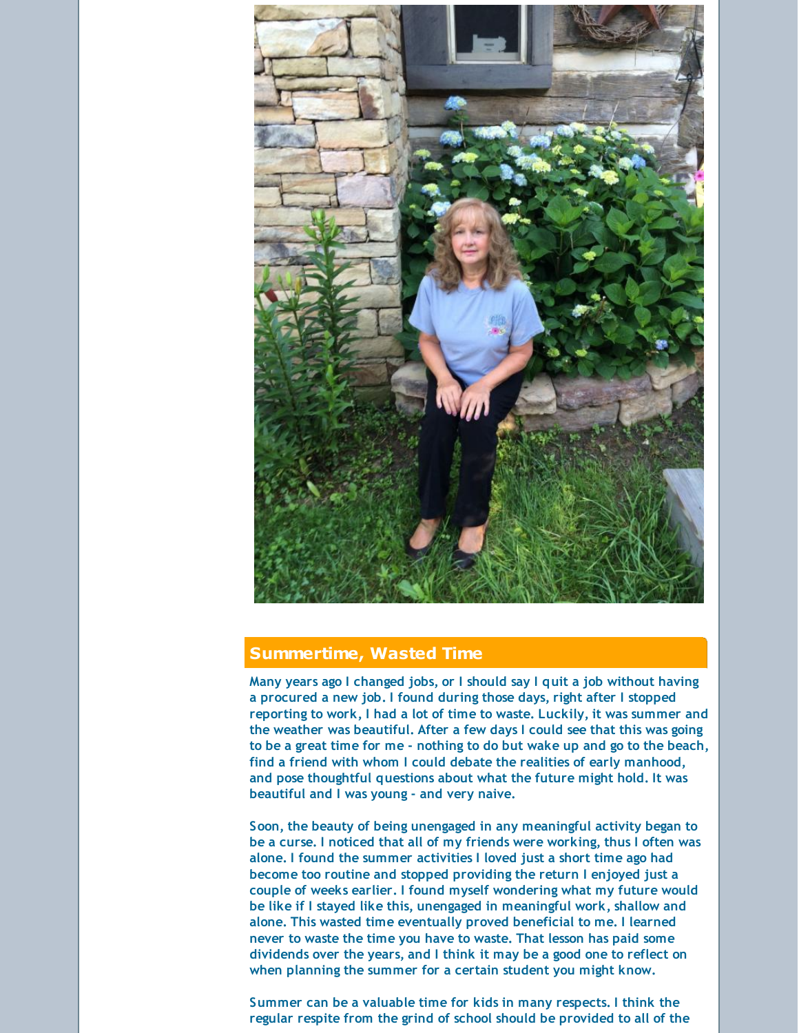

### **Summertime, Wasted Time**

**Many years ago I changed jobs, or I should say I quit a job without having a procured a new job. I found during those days, right after I stopped reporting to work, I had a lot of time to waste. Luckily, it was summer and the weather was beautiful. After a few days I could see that this was going to be a great time for me - nothing to do but wake up and go to the beach, find a friend with whom I could debate the realities of early manhood, and pose thoughtful questions about what the future might hold. It was beautiful and I was young - and very naive.**

**Soon, the beauty of being unengaged in any meaningful activity began to be a curse. I noticed that all of my friends were working, thus I often was alone. I found the summer activities I loved just a short time ago had become too routine and stopped providing the return I enjoyed just a couple of weeks earlier. I found myself wondering what my future would be like if I stayed like this, unengaged in meaningful work, shallow and alone. This wasted time eventually proved beneficial to me. I learned never to waste the time you have to waste. That lesson has paid some dividends over the years, and I think it may be a good one to reflect on when planning the summer for a certain student you might know.**

**Summer can be a valuable time for kids in many respects. I think the regular respite from the grind of school should be provided to all of the**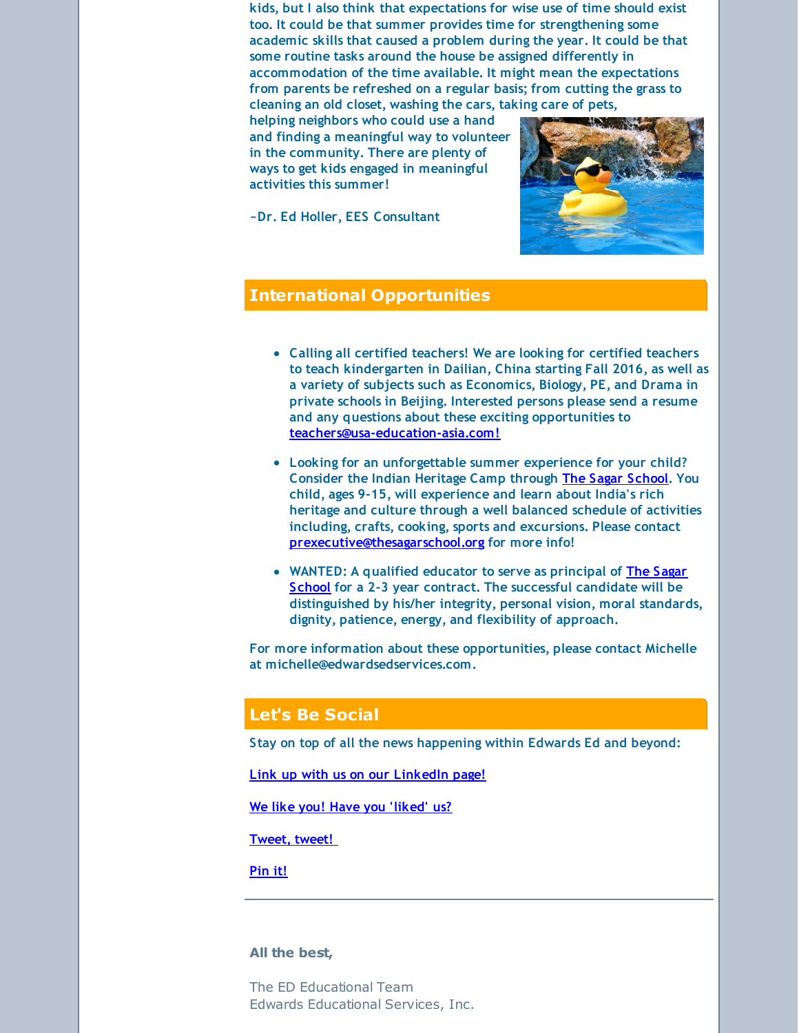**kids, but I also think that expectations for wise use of time should exist too. It could be that summer provides time for strengthening some academic skills that caused a problem during the year. It could be that some routine tasks around the house be assigned differently in accommodation of the time available. It might mean the expectations from parents be refreshed on a regular basis; from cutting the grass to cleaning an old closet, washing the cars, taking care of pets,**

**helping neighbors who could use a hand and finding a meaningful way to volunteer in the community. There are plenty of ways to get kids engaged in meaningful activities this summer!**

**~Dr. Ed Holler, EES Consultant**



### **International Opportunities**

- **Calling all certified teachers! We are looking for certified teachers to teach kindergarten in Dailian, China starting Fall 2016, as well as a variety of subjects such as Economics, Biology, PE, and Drama in private schools in Beijing. Interested persons please send a resume and any questions about these exciting opportunities to [teachers@usa-education-asia.com!](mailto:teachers@usa-education-asia.com)**
- **Looking for an unforgettable summer experience for your child? Consider the Indian Heritage Camp through The Sagar [School](http://r20.rs6.net/tn.jsp?f=001JM4YhSSRgCcjRl9AsWLhlnX-E5qViDgAhsTju5YoJaxwzx8PvHxBVDSa_8qf3IYaFAcrMbOG4GnSHjAcW_Cv1ErZShTHQ5WLrD4Rf4QoGj_Du8rtbe0JRFeds0ZmJAMHCU7Etyfqx2ndpKYiurVRciAZXfA1wgHa-P6nlqZQbVV9BeEN_c05wg==&c=&ch=). You child, ages 9-15, will experience and learn about India's rich heritage and culture through a well balanced schedule of activities including, crafts, cooking, sports and excursions. Please contact [prexecutive@thesagarschool.org](mailto:prexecutive@thesagarschool.org) for more info!**
- **[WANTED:](http://r20.rs6.net/tn.jsp?f=001JM4YhSSRgCcjRl9AsWLhlnX-E5qViDgAhsTju5YoJaxwzx8PvHxBVDSa_8qf3IYaFAcrMbOG4GnSHjAcW_Cv1ErZShTHQ5WLrD4Rf4QoGj_Du8rtbe0JRFeds0ZmJAMHCU7Etyfqx2ndpKYiurVRciAZXfA1wgHa-P6nlqZQbVV9BeEN_c05wg==&c=&ch=) A qualified educator to serve as principal of The Sagar School for a 2-3 year contract. The successful candidate will be distinguished by his/her integrity, personal vision, moral standards, dignity, patience, energy, and flexibility of approach.**

**For more information about these opportunities, please contact Michelle at michelle@edwardsedservices.com.**

### **Let's Be Social**

**Stay on top of all the news happening within Edwards Ed and beyond:**

**Link up with us on our [LinkedIn](http://r20.rs6.net/tn.jsp?f=001JM4YhSSRgCcjRl9AsWLhlnX-E5qViDgAhsTju5YoJaxwzx8PvHxBVGSMDEN_9ytZUzK7lRQ7jyD3MwR28q3BZQM-Ze7RhVqOM3_MqsBtQI98C4jmfC-H7zSW2ZjZeS7GGkvX_r4QVGSxq-be8dogOMQYJdHFQlc-CaLc1R8tv0fMlK9FlUWDlkebqNcrKq64tokJVRbny2rORc97S6btYIB7yPuuf0pZwoTvHFQJdXc=&c=&ch=) page!**

**We like you! Have you ['liked'](http://r20.rs6.net/tn.jsp?f=001JM4YhSSRgCcjRl9AsWLhlnX-E5qViDgAhsTju5YoJaxwzx8PvHxBVEA48Dp192YcQgrMcy0pUF3qXR-Rvd1F7I0H_Y32p6lUDIfycfLdeWB6PSz0MUip_AZaQLoPA_h4lW0_i6XtOEWHpQP1zC3Bv1A00YtNpMH1btoTrp-oYfmV3tZf03OHmRUPnVFACXUR0zJAH3_5lO0=&c=&ch=) us?**

**[Tweet,](http://r20.rs6.net/tn.jsp?f=001JM4YhSSRgCcjRl9AsWLhlnX-E5qViDgAhsTju5YoJaxwzx8PvHxBVGSMDEN_9ytZxrCr53ysbLJi1Vg5nZ71-maPmRKlBPAtNnTNVV-SFH0EN2aNB687XVxVRWkEEkUDB3dzhKAT-6mZ-oQkfNjxUjO092RZElPJNCzAuUugAOjNRoFQDZdXRaw4v49jSHfm&c=&ch=) tweet!**

**[Pin](http://r20.rs6.net/tn.jsp?f=001JM4YhSSRgCcjRl9AsWLhlnX-E5qViDgAhsTju5YoJaxwzx8PvHxBVI4QLbH7urUn608K6556VCDN0ysvC3tx94_o_qdj-cDf34XW616ajT8a0VRYk-pEjxIy0Q7JAKXulo8KcwylkObx48FIiPsTcytUbcfUA2SDnrRntRDl3UQNTQ5KTUl2ko50vLmIxpB5&c=&ch=) it!**

### **All the best,**

The ED Educational Team Edwards Educational Services, Inc.